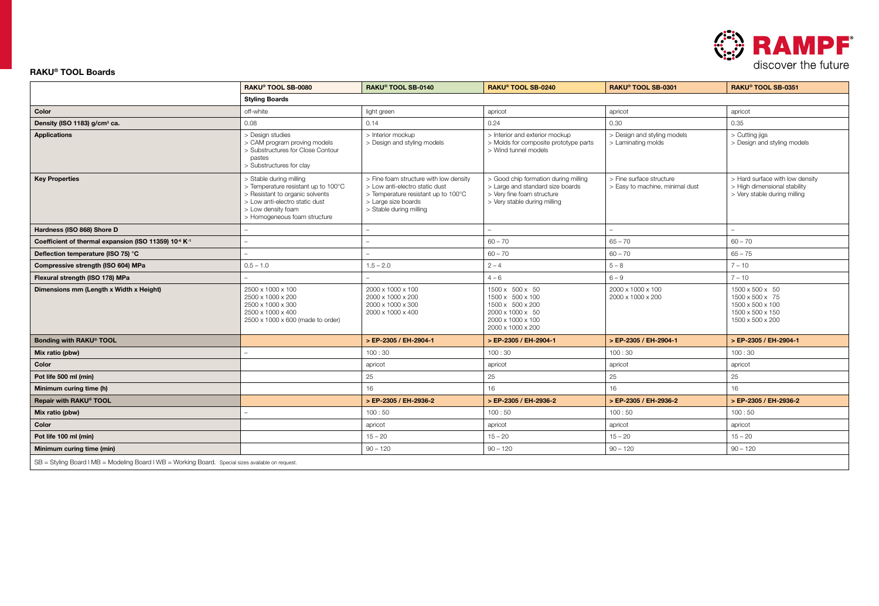

### RAKU® TOOL Boards

|                                                                                                    | RAKU® TOOL SB-0080                                                                                                                                                                        | RAKU® TOOL SB-0140                                                                                                                                                                                                                                                                                          | RAKU® TOOL SB-0240                                                                                                    | RAKU® TOOL SB-0301                                          | RAKU® TOOL SB-0351                                                                              |  |  |  |
|----------------------------------------------------------------------------------------------------|-------------------------------------------------------------------------------------------------------------------------------------------------------------------------------------------|-------------------------------------------------------------------------------------------------------------------------------------------------------------------------------------------------------------------------------------------------------------------------------------------------------------|-----------------------------------------------------------------------------------------------------------------------|-------------------------------------------------------------|-------------------------------------------------------------------------------------------------|--|--|--|
|                                                                                                    | <b>Styling Boards</b>                                                                                                                                                                     |                                                                                                                                                                                                                                                                                                             |                                                                                                                       |                                                             |                                                                                                 |  |  |  |
| Color                                                                                              | off-white                                                                                                                                                                                 | light green                                                                                                                                                                                                                                                                                                 | apricot<br>apricot                                                                                                    |                                                             | apricot                                                                                         |  |  |  |
| Density (ISO 1183) g/cm <sup>3</sup> ca.                                                           | 0.08                                                                                                                                                                                      | 0.14<br>0.24                                                                                                                                                                                                                                                                                                |                                                                                                                       | 0.30                                                        | 0.35                                                                                            |  |  |  |
| <b>Applications</b>                                                                                | > Design studies<br>> CAM program proving models<br>> Substructures for Close Contour<br>pastes<br>> Substructures for clay                                                               | > Interior mockup<br>> Design and styling models                                                                                                                                                                                                                                                            | > Interior and exterior mockup<br>> Molds for composite prototype parts<br>> Wind tunnel models                       | > Design and styling models<br>> Laminating molds           | > Cutting jigs<br>> Design and styling models                                                   |  |  |  |
| <b>Key Properties</b>                                                                              | > Stable during milling<br>> Temperature resistant up to 100°C<br>> Resistant to organic solvents<br>> Low anti-electro static dust<br>> Low density foam<br>> Homogeneous foam structure | > Fine foam structure with low density<br>> Good chip formation during milling<br>> Large and standard size boards<br>> Low anti-electro static dust<br>> Very fine foam structure<br>> Temperature resistant up to 100°C<br>> Large size boards<br>> Very stable during milling<br>> Stable during milling |                                                                                                                       | > Fine surface structure<br>> Easy to machine, minimal dust | > Hard surface with low density<br>> High dimensional stability<br>> Very stable during milling |  |  |  |
| Hardness (ISO 868) Shore D                                                                         |                                                                                                                                                                                           |                                                                                                                                                                                                                                                                                                             |                                                                                                                       |                                                             |                                                                                                 |  |  |  |
| Coefficient of thermal expansion (ISO 11359) 10 <sup>-6</sup> K <sup>-1</sup>                      |                                                                                                                                                                                           |                                                                                                                                                                                                                                                                                                             | $60 - 70$                                                                                                             | $65 - 70$                                                   | $60 - 70$                                                                                       |  |  |  |
| Deflection temperature (ISO 75) °C                                                                 |                                                                                                                                                                                           |                                                                                                                                                                                                                                                                                                             | $60 - 70$                                                                                                             | $60 - 70$                                                   | $65 - 75$                                                                                       |  |  |  |
| Compressive strength (ISO 604) MPa                                                                 | $0.5 - 1.0$                                                                                                                                                                               | $1.5 - 2.0$<br>$2 - 4$                                                                                                                                                                                                                                                                                      |                                                                                                                       | $5 - 8$                                                     | $7 - 10$                                                                                        |  |  |  |
| Flexural strength (ISO 178) MPa                                                                    |                                                                                                                                                                                           |                                                                                                                                                                                                                                                                                                             | $4 - 6$                                                                                                               | $6 - 9$                                                     | $7 - 10$                                                                                        |  |  |  |
| Dimensions mm (Length x Width x Height)                                                            | 2500 x 1000 x 100<br>2500 x 1000 x 200<br>2500 x 1000 x 300<br>2500 x 1000 x 400<br>2500 x 1000 x 600 (made to order)                                                                     | 2000 x 1000 x 100<br>2000 x 1000 x 200<br>2000 x 1000 x 300<br>2000 x 1000 x 400                                                                                                                                                                                                                            | 1500 x 500 x 50<br>1500 x 500 x 100<br>1500 x 500 x 200<br>2000 x 1000 x 50<br>2000 x 1000 x 100<br>2000 x 1000 x 200 | 2000 x 1000 x 100<br>2000 x 1000 x 200                      | 1500 x 500 x 50<br>1500 x 500 x 75<br>1500 x 500 x 100<br>1500 x 500 x 150<br>1500 x 500 x 200  |  |  |  |
| Bonding with RAKU® TOOL                                                                            |                                                                                                                                                                                           | > EP-2305 / EH-2904-1                                                                                                                                                                                                                                                                                       | > EP-2305 / EH-2904-1                                                                                                 | > EP-2305 / EH-2904-1                                       | > EP-2305 / EH-2904-1                                                                           |  |  |  |
| Mix ratio (pbw)                                                                                    |                                                                                                                                                                                           | 100:30                                                                                                                                                                                                                                                                                                      | 100:30                                                                                                                | 100:30                                                      | 100:30                                                                                          |  |  |  |
| Color                                                                                              |                                                                                                                                                                                           | apricot                                                                                                                                                                                                                                                                                                     | apricot                                                                                                               | apricot                                                     | apricot                                                                                         |  |  |  |
| Pot life 500 ml (min)                                                                              |                                                                                                                                                                                           | 25                                                                                                                                                                                                                                                                                                          | 25                                                                                                                    | 25                                                          | 25                                                                                              |  |  |  |
| Minimum curing time (h)                                                                            |                                                                                                                                                                                           | 16                                                                                                                                                                                                                                                                                                          | 16                                                                                                                    | 16                                                          | 16                                                                                              |  |  |  |
| Repair with RAKU® TOOL                                                                             |                                                                                                                                                                                           | > EP-2305 / EH-2936-2                                                                                                                                                                                                                                                                                       | > EP-2305 / EH-2936-2                                                                                                 | > EP-2305 / EH-2936-2                                       | > EP-2305 / EH-2936-2                                                                           |  |  |  |
| Mix ratio (pbw)                                                                                    |                                                                                                                                                                                           | 100:50                                                                                                                                                                                                                                                                                                      | 100:50                                                                                                                | 100:50                                                      | 100:50                                                                                          |  |  |  |
| Color                                                                                              |                                                                                                                                                                                           | apricot                                                                                                                                                                                                                                                                                                     | apricot                                                                                                               | apricot                                                     | apricot                                                                                         |  |  |  |
| Pot life 100 ml (min)                                                                              |                                                                                                                                                                                           | $15 - 20$                                                                                                                                                                                                                                                                                                   | $15 - 20$                                                                                                             | $15 - 20$                                                   | $15 - 20$                                                                                       |  |  |  |
| Minimum curing time (min)                                                                          |                                                                                                                                                                                           | $90 - 120$                                                                                                                                                                                                                                                                                                  | $90 - 120$                                                                                                            | $90 - 120$                                                  | $90 - 120$                                                                                      |  |  |  |
| SB = Styling Board   MB = Modeling Board   WB = Working Board. Special sizes available on request. |                                                                                                                                                                                           |                                                                                                                                                                                                                                                                                                             |                                                                                                                       |                                                             |                                                                                                 |  |  |  |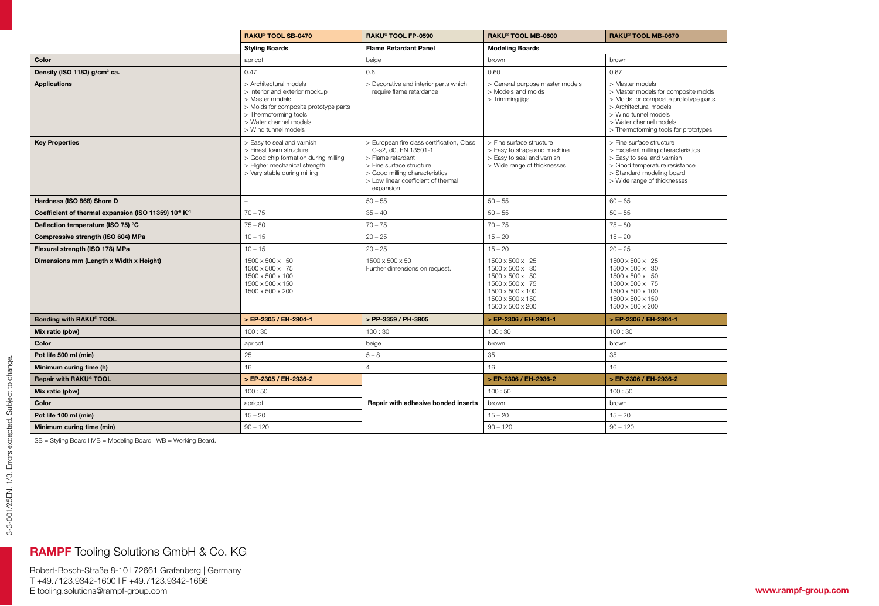|                                                                              | RAKU® TOOL SB-0470                                                                                                                                                                              | RAKU® TOOL FP-0590                                                                                                                                                                                        | RAKU® TOOL MB-0600                                                                                                                   | RAKU® TOOL MB-0670                                                                                                                                                                                                  |  |
|------------------------------------------------------------------------------|-------------------------------------------------------------------------------------------------------------------------------------------------------------------------------------------------|-----------------------------------------------------------------------------------------------------------------------------------------------------------------------------------------------------------|--------------------------------------------------------------------------------------------------------------------------------------|---------------------------------------------------------------------------------------------------------------------------------------------------------------------------------------------------------------------|--|
|                                                                              | <b>Styling Boards</b>                                                                                                                                                                           | <b>Flame Retardant Panel</b>                                                                                                                                                                              | <b>Modeling Boards</b>                                                                                                               |                                                                                                                                                                                                                     |  |
| Color                                                                        | apricot                                                                                                                                                                                         | beige                                                                                                                                                                                                     | brown                                                                                                                                | brown                                                                                                                                                                                                               |  |
| Density (ISO 1183) g/cm <sup>3</sup> ca.                                     | 0.47                                                                                                                                                                                            | 0.6                                                                                                                                                                                                       | 0.60                                                                                                                                 | 0.67                                                                                                                                                                                                                |  |
| <b>Applications</b>                                                          | > Architectural models<br>> Interior and exterior mockup<br>> Master models<br>> Molds for composite prototype parts<br>> Thermoforming tools<br>> Water channel models<br>> Wind tunnel models | > Decorative and interior parts which<br>require flame retardance                                                                                                                                         | > General purpose master models<br>> Models and molds<br>> Trimming jigs                                                             | > Master models<br>> Master models for composite molds<br>> Molds for composite prototype parts<br>> Architectural models<br>> Wind tunnel models<br>> Water channel models<br>> Thermoforming tools for prototypes |  |
| <b>Key Properties</b>                                                        | > Easy to seal and varnish<br>> Finest foam structure<br>> Good chip formation during milling<br>> Higher mechanical strength<br>> Very stable during milling                                   | > European fire class certification, Class<br>C-s2, d0, EN 13501-1<br>> Flame retardant<br>> Fine surface structure<br>> Good milling characteristics<br>> Low linear coefficient of thermal<br>expansion | > Fine surface structure<br>> Easy to shape and machine<br>> Easy to seal and varnish<br>> Wide range of thicknesses                 | > Fine surface structure<br>> Excellent milling characteristics<br>> Easy to seal and varnish<br>> Good temperature resistance<br>> Standard modeling board<br>> Wide range of thicknesses                          |  |
| Hardness (ISO 868) Shore D                                                   |                                                                                                                                                                                                 | $50 - 55$                                                                                                                                                                                                 | $50 - 55$                                                                                                                            | $60 - 65$                                                                                                                                                                                                           |  |
| Coefficient of thermal expansion (ISO 11359) 10 <sup>6</sup> K <sup>-1</sup> | $70 - 75$                                                                                                                                                                                       | $35 - 40$                                                                                                                                                                                                 | $50 - 55$                                                                                                                            | $50 - 55$                                                                                                                                                                                                           |  |
| Deflection temperature (ISO 75) °C                                           | $75 - 80$                                                                                                                                                                                       | $70 - 75$                                                                                                                                                                                                 | $70 - 75$                                                                                                                            | $75 - 80$                                                                                                                                                                                                           |  |
| Compressive strength (ISO 604) MPa                                           | $10 - 15$                                                                                                                                                                                       | $20 - 25$                                                                                                                                                                                                 | $15 - 20$                                                                                                                            | $15 - 20$                                                                                                                                                                                                           |  |
| Flexural strength (ISO 178) MPa                                              | $10 - 15$                                                                                                                                                                                       | $20 - 25$                                                                                                                                                                                                 | $15 - 20$                                                                                                                            | $20 - 25$                                                                                                                                                                                                           |  |
| Dimensions mm (Length x Width x Height)                                      | 1500 x 500 x 50<br>1500 x 500 x 75<br>1500 x 500 x 100<br>1500 x 500 x 150<br>1500 x 500 x 200                                                                                                  | 1500 x 500 x 50<br>Further dimensions on request.                                                                                                                                                         | 1500 x 500 x 25<br>1500 x 500 x 30<br>1500 x 500 x 50<br>1500 x 500 x 75<br>1500 x 500 x 100<br>1500 x 500 x 150<br>1500 x 500 x 200 | 1500 x 500 x 25<br>1500 x 500 x 30<br>1500 x 500 x 50<br>1500 x 500 x 75<br>1500 x 500 x 100<br>1500 x 500 x 150<br>1500 x 500 x 200                                                                                |  |
| Bonding with RAKU® TOOL                                                      | > EP-2305 / EH-2904-1                                                                                                                                                                           | > PP-3359 / PH-3905                                                                                                                                                                                       | > EP-2306 / EH-2904-1                                                                                                                | > EP-2306 / EH-2904-1                                                                                                                                                                                               |  |
| Mix ratio (pbw)                                                              | 100:30                                                                                                                                                                                          | 100:30                                                                                                                                                                                                    | 100:30                                                                                                                               | 100:30                                                                                                                                                                                                              |  |
| Color                                                                        | apricot                                                                                                                                                                                         | beige                                                                                                                                                                                                     | brown                                                                                                                                | brown                                                                                                                                                                                                               |  |
| Pot life 500 ml (min)                                                        | 25                                                                                                                                                                                              | $5 - 8$                                                                                                                                                                                                   | 35                                                                                                                                   | 35                                                                                                                                                                                                                  |  |
| Minimum curing time (h)                                                      | 16                                                                                                                                                                                              | $\overline{4}$                                                                                                                                                                                            | 16                                                                                                                                   | 16                                                                                                                                                                                                                  |  |
| Repair with RAKU® TOOL                                                       | > EP-2305 / EH-2936-2                                                                                                                                                                           |                                                                                                                                                                                                           | > EP-2306 / EH-2936-2                                                                                                                | > EP-2306 / EH-2936-2                                                                                                                                                                                               |  |
| Mix ratio (pbw)                                                              | 100:50                                                                                                                                                                                          |                                                                                                                                                                                                           | 100:50                                                                                                                               | 100:50                                                                                                                                                                                                              |  |
| Color                                                                        | apricot                                                                                                                                                                                         | Repair with adhesive bonded inserts                                                                                                                                                                       | brown                                                                                                                                | brown                                                                                                                                                                                                               |  |
| Pot life 100 ml (min)                                                        | $15 - 20$                                                                                                                                                                                       |                                                                                                                                                                                                           | $15 - 20$                                                                                                                            | $15 - 20$                                                                                                                                                                                                           |  |
| Minimum curing time (min)                                                    | $90 - 120$                                                                                                                                                                                      |                                                                                                                                                                                                           | $90 - 120$                                                                                                                           | $90 - 120$                                                                                                                                                                                                          |  |
| SB = Styling Board   MB = Modeling Board   WB = Working Board.               |                                                                                                                                                                                                 |                                                                                                                                                                                                           |                                                                                                                                      |                                                                                                                                                                                                                     |  |

# RAMPF Tooling Solutions GmbH & Co. KG

Robert-Bosch-Straße 8-10 l 72661 Grafenberg | Germany T +49.7123.9342-1600 l F +49.7123.9342-1666 E tooling.solutions@rampf-group.com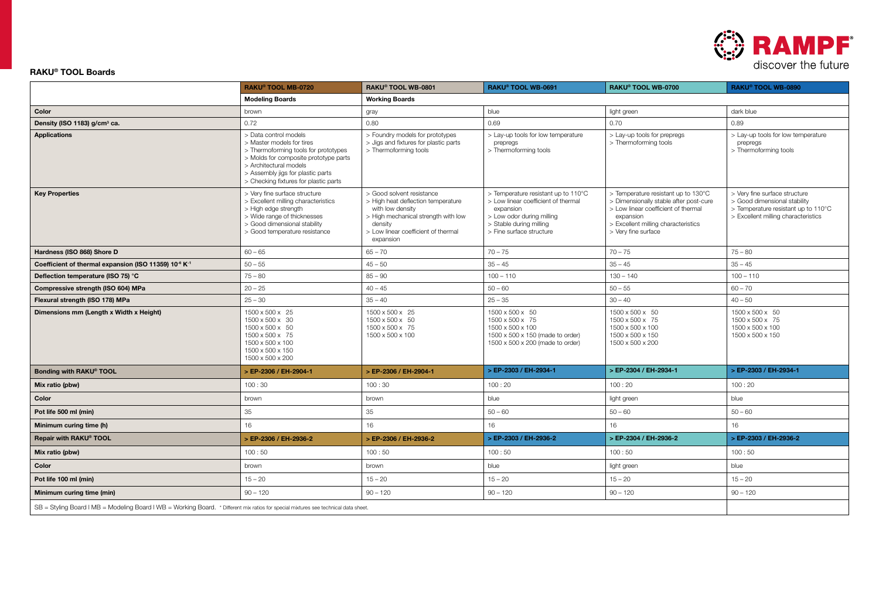

### RAKU® TOOL Boards

|                                                                                                                                      | RAKU® TOOL MB-0720                                                                                                                                                                                                                          | RAKU® TOOL WB-0801<br>RAKU® TOOL WB-0691<br>RAKU® TOOL WB-0700                                                                                                                            |                                                                                                                                                                                                                                                                                                                                                                                | RAKU® TOOL WB-0890                                                                             |                                                                                                                                             |  |
|--------------------------------------------------------------------------------------------------------------------------------------|---------------------------------------------------------------------------------------------------------------------------------------------------------------------------------------------------------------------------------------------|-------------------------------------------------------------------------------------------------------------------------------------------------------------------------------------------|--------------------------------------------------------------------------------------------------------------------------------------------------------------------------------------------------------------------------------------------------------------------------------------------------------------------------------------------------------------------------------|------------------------------------------------------------------------------------------------|---------------------------------------------------------------------------------------------------------------------------------------------|--|
|                                                                                                                                      | <b>Modeling Boards</b>                                                                                                                                                                                                                      | <b>Working Boards</b>                                                                                                                                                                     |                                                                                                                                                                                                                                                                                                                                                                                |                                                                                                |                                                                                                                                             |  |
| Color                                                                                                                                | brown                                                                                                                                                                                                                                       | gray                                                                                                                                                                                      | blue                                                                                                                                                                                                                                                                                                                                                                           | light green                                                                                    | dark blue                                                                                                                                   |  |
| Density (ISO 1183) g/cm <sup>3</sup> ca.                                                                                             | 0.72                                                                                                                                                                                                                                        | 0.80                                                                                                                                                                                      | 0.69                                                                                                                                                                                                                                                                                                                                                                           | 0.70<br>0.89                                                                                   |                                                                                                                                             |  |
| <b>Applications</b>                                                                                                                  | > Data control models<br>> Master models for tires<br>> Thermoforming tools for prototypes<br>> Molds for composite prototype parts<br>> Architectural models<br>> Assembly jigs for plastic parts<br>> Checking fixtures for plastic parts | > Foundry models for prototypes<br>> Jigs and fixtures for plastic parts<br>> Thermoforming tools                                                                                         | > Lay-up tools for low temperature<br>> Lay-up tools for prepregs<br>> Thermoforming tools<br>prepregs<br>> Thermoforming tools                                                                                                                                                                                                                                                |                                                                                                | > Lay-up tools for low temperature<br>prepregs<br>> Thermoforming tools                                                                     |  |
| <b>Key Properties</b>                                                                                                                | > Very fine surface structure<br>> Excellent milling characteristics<br>> High edge strength<br>> Wide range of thicknesses<br>> Good dimensional stability<br>> Good temperature resistance                                                | > Good solvent resistance<br>> High heat deflection temperature<br>with low density<br>> High mechanical strength with low<br>density<br>> Low linear coefficient of thermal<br>expansion | > Temperature resistant up to 110°C<br>> Temperature resistant up to 130°C<br>> Low linear coefficient of thermal<br>> Dimensionally stable after post-cure<br>> Low linear coefficient of thermal<br>expansion<br>> Low odor during milling<br>expansion<br>> Stable during milling<br>> Excellent milling characteristics<br>> Fine surface structure<br>> Very fine surface |                                                                                                | > Very fine surface structure<br>> Good dimensional stability<br>> Temperature resistant up to 110°C<br>> Excellent milling characteristics |  |
| Hardness (ISO 868) Shore D                                                                                                           | $60 - 65$                                                                                                                                                                                                                                   | $65 - 70$                                                                                                                                                                                 | $70 - 75$                                                                                                                                                                                                                                                                                                                                                                      | $70 - 75$                                                                                      | $75 - 80$                                                                                                                                   |  |
| Coefficient of thermal expansion (ISO 11359) 10 <sup>6</sup> K <sup>-1</sup>                                                         | $50 - 55$                                                                                                                                                                                                                                   | $45 - 50$                                                                                                                                                                                 | $35 - 45$                                                                                                                                                                                                                                                                                                                                                                      | $35 - 45$                                                                                      | $35 - 45$                                                                                                                                   |  |
| Deflection temperature (ISO 75) °C                                                                                                   | $75 - 80$                                                                                                                                                                                                                                   | $85 - 90$                                                                                                                                                                                 | $100 - 110$<br>$130 - 140$                                                                                                                                                                                                                                                                                                                                                     |                                                                                                | $100 - 110$                                                                                                                                 |  |
| Compressive strength (ISO 604) MPa                                                                                                   | $20 - 25$                                                                                                                                                                                                                                   | $40 - 45$                                                                                                                                                                                 | $50 - 60$<br>$50 - 55$                                                                                                                                                                                                                                                                                                                                                         |                                                                                                | $60 - 70$                                                                                                                                   |  |
| Flexural strength (ISO 178) MPa                                                                                                      | $25 - 30$                                                                                                                                                                                                                                   | $35 - 40$                                                                                                                                                                                 | $30 - 40$<br>$25 - 35$                                                                                                                                                                                                                                                                                                                                                         |                                                                                                | $40 - 50$                                                                                                                                   |  |
| Dimensions mm (Length x Width x Height)                                                                                              | 1500 x 500 x 25<br>1500 x 500 x 30<br>1500 x 500 x 50<br>1500 x 500 x 75<br>1500 x 500 x 100<br>1500 x 500 x 150<br>1500 x 500 x 200                                                                                                        | 1500 x 500 x 25<br>1500 x 500 x 50<br>1500 x 500 x 75<br>1500 x 500 x 100                                                                                                                 | 1500 x 500 x 50<br>1500 x 500 x 75<br>1500 x 500 x 100<br>1500 x 500 x 150 (made to order)<br>1500 x 500 x 200 (made to order)                                                                                                                                                                                                                                                 | 1500 x 500 x 50<br>1500 x 500 x 75<br>1500 x 500 x 100<br>1500 x 500 x 150<br>1500 x 500 x 200 | 1500 x 500 x 50<br>1500 x 500 x 75<br>1500 x 500 x 100<br>1500 x 500 x 150                                                                  |  |
| Bonding with RAKU® TOOL                                                                                                              | > EP-2306 / EH-2904-1                                                                                                                                                                                                                       | > EP-2306 / EH-2904-1                                                                                                                                                                     | > EP-2303 / EH-2934-1                                                                                                                                                                                                                                                                                                                                                          | > EP-2304 / EH-2934-1                                                                          | > EP-2303 / EH-2934-1                                                                                                                       |  |
| Mix ratio (pbw)                                                                                                                      | 100:30                                                                                                                                                                                                                                      | 100:30                                                                                                                                                                                    | 100:20                                                                                                                                                                                                                                                                                                                                                                         | 100:20                                                                                         | 100:20                                                                                                                                      |  |
| Color                                                                                                                                | brown                                                                                                                                                                                                                                       | brown                                                                                                                                                                                     | blue                                                                                                                                                                                                                                                                                                                                                                           | light green                                                                                    | blue                                                                                                                                        |  |
| Pot life 500 ml (min)                                                                                                                | 35                                                                                                                                                                                                                                          | 35                                                                                                                                                                                        | $50 - 60$                                                                                                                                                                                                                                                                                                                                                                      | $50 - 60$                                                                                      | $50 - 60$                                                                                                                                   |  |
| Minimum curing time (h)                                                                                                              | 16                                                                                                                                                                                                                                          | 16                                                                                                                                                                                        | 16                                                                                                                                                                                                                                                                                                                                                                             | 16                                                                                             | 16                                                                                                                                          |  |
| Repair with RAKU® TOOL                                                                                                               | > EP-2306 / EH-2936-2                                                                                                                                                                                                                       | > EP-2306 / EH-2936-2                                                                                                                                                                     | > EP-2303 / EH-2936-2                                                                                                                                                                                                                                                                                                                                                          | > EP-2304 / EH-2936-2                                                                          | > EP-2303 / EH-2936-2                                                                                                                       |  |
| Mix ratio (pbw)                                                                                                                      | 100:50                                                                                                                                                                                                                                      | 100:50                                                                                                                                                                                    | 100:50                                                                                                                                                                                                                                                                                                                                                                         | 100:50                                                                                         | 100:50                                                                                                                                      |  |
| Color                                                                                                                                | brown                                                                                                                                                                                                                                       | brown                                                                                                                                                                                     | blue                                                                                                                                                                                                                                                                                                                                                                           | light green                                                                                    | blue                                                                                                                                        |  |
| Pot life 100 ml (min)                                                                                                                | $15 - 20$                                                                                                                                                                                                                                   | $15 - 20$                                                                                                                                                                                 | $15 - 20$                                                                                                                                                                                                                                                                                                                                                                      | $15 - 20$                                                                                      | $15 - 20$                                                                                                                                   |  |
| Minimum curing time (min)                                                                                                            | $90 - 120$                                                                                                                                                                                                                                  | $90 - 120$                                                                                                                                                                                | $90 - 120$                                                                                                                                                                                                                                                                                                                                                                     | $90 - 120$                                                                                     | $90 - 120$                                                                                                                                  |  |
| SB = Styling Board I MB = Modeling Board I WB = Working Board. * Different mix ratios for special mixtures see technical data sheet. |                                                                                                                                                                                                                                             |                                                                                                                                                                                           |                                                                                                                                                                                                                                                                                                                                                                                |                                                                                                |                                                                                                                                             |  |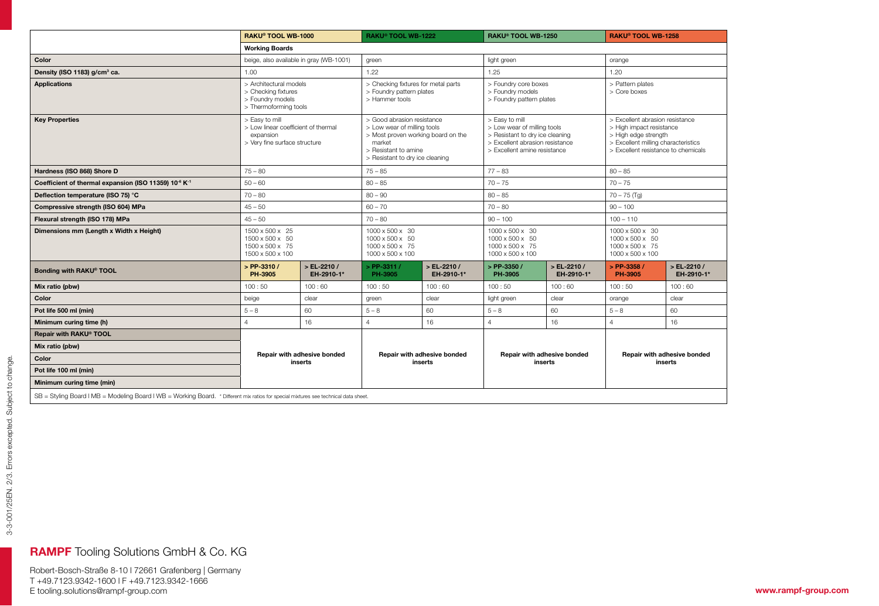|                                                                                                                                      |                                                                                                     | RAKU® TOOL WB-1000<br>RAKU® TOOL WB-1222 |                                                                                                                                                                      | RAKU® TOOL WB-1250        |                                                                                                                                                     | <b>RAKU® TOOL WB-1258</b>   |                                                                                                                                                                   |                             |
|--------------------------------------------------------------------------------------------------------------------------------------|-----------------------------------------------------------------------------------------------------|------------------------------------------|----------------------------------------------------------------------------------------------------------------------------------------------------------------------|---------------------------|-----------------------------------------------------------------------------------------------------------------------------------------------------|-----------------------------|-------------------------------------------------------------------------------------------------------------------------------------------------------------------|-----------------------------|
|                                                                                                                                      | <b>Working Boards</b>                                                                               |                                          |                                                                                                                                                                      |                           |                                                                                                                                                     |                             |                                                                                                                                                                   |                             |
| Color                                                                                                                                | beige, also available in gray (WB-1001)                                                             |                                          | green                                                                                                                                                                |                           | light green                                                                                                                                         |                             | orange                                                                                                                                                            |                             |
| Density (ISO 1183) g/cm <sup>3</sup> ca.                                                                                             | 1.00                                                                                                |                                          | 1.22                                                                                                                                                                 |                           | 1.25                                                                                                                                                |                             | 1.20                                                                                                                                                              |                             |
| <b>Applications</b>                                                                                                                  | > Architectural models<br>> Checking fixtures<br>> Foundry models<br>> Thermoforming tools          |                                          | > Checking fixtures for metal parts<br>> Foundry pattern plates<br>> Hammer tools                                                                                    |                           | > Foundry core boxes<br>> Foundry models<br>> Foundry pattern plates                                                                                |                             | > Pattern plates<br>> Core boxes                                                                                                                                  |                             |
| <b>Key Properties</b>                                                                                                                | > Easy to mill<br>> Low linear coefficient of thermal<br>expansion<br>> Very fine surface structure |                                          | > Good abrasion resistance<br>> Low wear of milling tools<br>> Most proven working board on the<br>market<br>> Resistant to amine<br>> Resistant to dry ice cleaning |                           | > Easy to mill<br>> Low wear of milling tools<br>> Resistant to dry ice cleaning<br>> Excellent abrasion resistance<br>> Excellent amine resistance |                             | > Excellent abrasion resistance<br>> High impact resistance<br>> High edge strength<br>> Excellent milling characteristics<br>> Excellent resistance to chemicals |                             |
| Hardness (ISO 868) Shore D                                                                                                           | $75 - 80$                                                                                           |                                          | $75 - 85$                                                                                                                                                            |                           | $77 - 83$                                                                                                                                           |                             | $80 - 85$                                                                                                                                                         |                             |
| Coefficient of thermal expansion (ISO 11359) 10 <sup>-6</sup> K <sup>-1</sup>                                                        | $50 - 60$                                                                                           |                                          | $80 - 85$                                                                                                                                                            |                           | $70 - 75$                                                                                                                                           |                             | $70 - 75$                                                                                                                                                         |                             |
| Deflection temperature (ISO 75) °C                                                                                                   | $70 - 80$                                                                                           |                                          | $80 - 90$                                                                                                                                                            |                           | $80 - 85$                                                                                                                                           |                             | $70 - 75$ (Tg)                                                                                                                                                    |                             |
| Compressive strength (ISO 604) MPa                                                                                                   | $45 - 50$                                                                                           |                                          | $60 - 70$                                                                                                                                                            |                           | $70 - 80$                                                                                                                                           |                             | $90 - 100$                                                                                                                                                        |                             |
| Flexural strength (ISO 178) MPa                                                                                                      | $45 - 50$                                                                                           |                                          | $70 - 80$                                                                                                                                                            |                           | $90 - 100$                                                                                                                                          |                             | $100 - 110$                                                                                                                                                       |                             |
| Dimensions mm (Length x Width x Height)                                                                                              | 1500 x 500 x 25<br>1500 x 500 x 50<br>1500 x 500 x 75<br>1500 x 500 x 100                           |                                          | 1000 x 500 x 30<br>1000 x 500 x 50<br>1000 x 500 x 75<br>1000 x 500 x 100                                                                                            |                           | 1000 x 500 x 30<br>1000 x 500 x 50<br>1000 x 500 x 75<br>1000 x 500 x 100                                                                           |                             | 1000 x 500 x 30<br>$1000 \times 500 \times 50$<br>1000 x 500 x 75<br>1000 x 500 x 100                                                                             |                             |
| Bonding with RAKU® TOOL                                                                                                              | $>$ PP-3310 /<br>PH-3905                                                                            | $>$ EL-2210 /<br>EH-2910-1*              | $>$ PP-3311 /<br>PH-3905                                                                                                                                             | > EL-2210 /<br>EH-2910-1* | $>$ PP-3350 /<br>PH-3905                                                                                                                            | $>$ EL-2210 /<br>EH-2910-1* | $>$ PP-3358 /<br>PH-3905                                                                                                                                          | $>$ EL-2210 /<br>EH-2910-1* |
| Mix ratio (pbw)                                                                                                                      | 100:50                                                                                              | 100:60                                   | 100:50                                                                                                                                                               | 100:60                    | 100:50                                                                                                                                              | 100:60                      | 100:50                                                                                                                                                            | 100:60                      |
| Color                                                                                                                                | beige                                                                                               | clear                                    | green                                                                                                                                                                | clear                     | light green                                                                                                                                         | clear                       | orange                                                                                                                                                            | clear                       |
| Pot life 500 ml (min)                                                                                                                | $5 - 8$                                                                                             | 60                                       | $5 - 8$                                                                                                                                                              | 60                        | $5 - 8$                                                                                                                                             | 60                          | $5 - 8$                                                                                                                                                           | 60                          |
| Minimum curing time (h)                                                                                                              | $\overline{4}$                                                                                      | 16                                       | $\overline{4}$                                                                                                                                                       | 16                        | $\overline{4}$                                                                                                                                      | 16                          | $\overline{a}$                                                                                                                                                    | 16                          |
| Repair with RAKU® TOOL                                                                                                               |                                                                                                     |                                          |                                                                                                                                                                      |                           |                                                                                                                                                     |                             |                                                                                                                                                                   |                             |
| Mix ratio (pbw)                                                                                                                      | Repair with adhesive bonded<br>inserts                                                              |                                          | Repair with adhesive bonded<br>inserts                                                                                                                               |                           | Repair with adhesive bonded<br>inserts                                                                                                              |                             | Repair with adhesive bonded<br>inserts                                                                                                                            |                             |
| Color                                                                                                                                |                                                                                                     |                                          |                                                                                                                                                                      |                           |                                                                                                                                                     |                             |                                                                                                                                                                   |                             |
| Pot life 100 ml (min)                                                                                                                |                                                                                                     |                                          |                                                                                                                                                                      |                           |                                                                                                                                                     |                             |                                                                                                                                                                   |                             |
| Minimum curing time (min)                                                                                                            |                                                                                                     |                                          |                                                                                                                                                                      |                           |                                                                                                                                                     |                             |                                                                                                                                                                   |                             |
| SB = Styling Board   MB = Modeling Board   WB = Working Board. * Different mix ratios for special mixtures see technical data sheet. |                                                                                                     |                                          |                                                                                                                                                                      |                           |                                                                                                                                                     |                             |                                                                                                                                                                   |                             |

## RAMPF Tooling Solutions GmbH & Co. KG

Robert-Bosch-Straße 8-10 l 72661 Grafenberg | Germany T +49.7123.9342-1600 l F +49.7123.9342-1666 E tooling.solutions@rampf-group.com